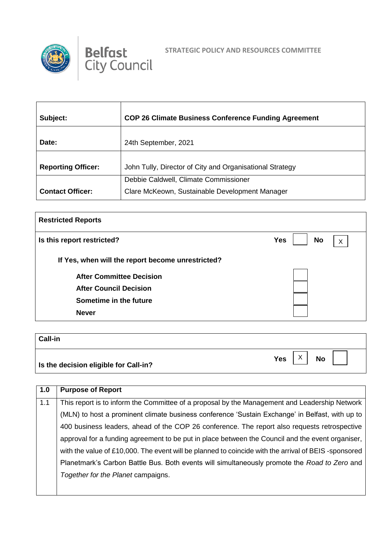



| Subject:                  | <b>COP 26 Climate Business Conference Funding Agreement</b>                             |
|---------------------------|-----------------------------------------------------------------------------------------|
| Date:                     | 24th September, 2021                                                                    |
| <b>Reporting Officer:</b> | John Tully, Director of City and Organisational Strategy                                |
| <b>Contact Officer:</b>   | Debbie Caldwell, Climate Commissioner<br>Clare McKeown, Sustainable Development Manager |

| <b>Restricted Reports</b>                         |                       |  |  |
|---------------------------------------------------|-----------------------|--|--|
| Is this report restricted?                        | <b>Yes</b><br>No<br>X |  |  |
| If Yes, when will the report become unrestricted? |                       |  |  |
| <b>After Committee Decision</b>                   |                       |  |  |
| <b>After Council Decision</b>                     |                       |  |  |
| Sometime in the future                            |                       |  |  |
| <b>Never</b>                                      |                       |  |  |
|                                                   |                       |  |  |

| <b>Call-in</b>                        |           |
|---------------------------------------|-----------|
| Is the decision eligible for Call-in? | Yes<br>No |

| 1.0 | <b>Purpose of Report</b>                                                                            |
|-----|-----------------------------------------------------------------------------------------------------|
| 1.1 | This report is to inform the Committee of a proposal by the Management and Leadership Network       |
|     | (MLN) to host a prominent climate business conference 'Sustain Exchange' in Belfast, with up to     |
|     | 400 business leaders, ahead of the COP 26 conference. The report also requests retrospective        |
|     | approval for a funding agreement to be put in place between the Council and the event organiser,    |
|     | with the value of £10,000. The event will be planned to coincide with the arrival of BEIS-sponsored |
|     | Planetmark's Carbon Battle Bus. Both events will simultaneously promote the Road to Zero and        |
|     | Together for the Planet campaigns.                                                                  |
|     |                                                                                                     |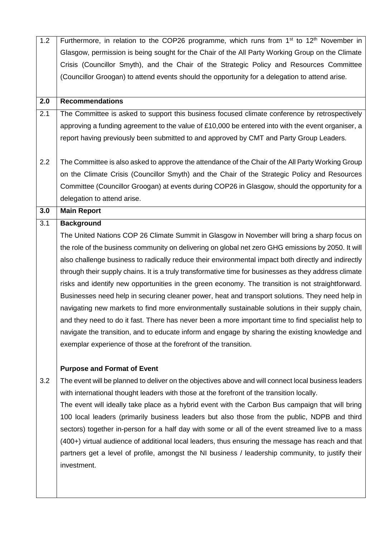| 1.2              | Furthermore, in relation to the COP26 programme, which runs from 1 <sup>st</sup> to 12 <sup>th</sup> November in |
|------------------|------------------------------------------------------------------------------------------------------------------|
|                  | Glasgow, permission is being sought for the Chair of the All Party Working Group on the Climate                  |
|                  | Crisis (Councillor Smyth), and the Chair of the Strategic Policy and Resources Committee                         |
|                  | (Councillor Groogan) to attend events should the opportunity for a delegation to attend arise.                   |
|                  |                                                                                                                  |
| 2.0              | <b>Recommendations</b>                                                                                           |
| 2.1              | The Committee is asked to support this business focused climate conference by retrospectively                    |
|                  | approving a funding agreement to the value of £10,000 be entered into with the event organiser, a                |
|                  | report having previously been submitted to and approved by CMT and Party Group Leaders.                          |
|                  |                                                                                                                  |
| 2.2              | The Committee is also asked to approve the attendance of the Chair of the All Party Working Group                |
|                  | on the Climate Crisis (Councillor Smyth) and the Chair of the Strategic Policy and Resources                     |
|                  | Committee (Councillor Groogan) at events during COP26 in Glasgow, should the opportunity for a                   |
|                  | delegation to attend arise.                                                                                      |
| 3.0              | <b>Main Report</b>                                                                                               |
| $\overline{3.1}$ | <b>Background</b>                                                                                                |
|                  | The United Nations COP 26 Climate Summit in Glasgow in November will bring a sharp focus on                      |
|                  | the role of the business community on delivering on global net zero GHG emissions by 2050. It will               |
|                  | also challenge business to radically reduce their environmental impact both directly and indirectly              |
|                  | through their supply chains. It is a truly transformative time for businesses as they address climate            |
|                  | risks and identify new opportunities in the green economy. The transition is not straightforward.                |
|                  | Businesses need help in securing cleaner power, heat and transport solutions. They need help in                  |
|                  | navigating new markets to find more environmentally sustainable solutions in their supply chain,                 |
|                  | and they need to do it fast. There has never been a more important time to find specialist help to               |
|                  | navigate the transition, and to educate inform and engage by sharing the existing knowledge and                  |
|                  | exemplar experience of those at the forefront of the transition.                                                 |
|                  |                                                                                                                  |
|                  | <b>Purpose and Format of Event</b>                                                                               |
| 3.2              | The event will be planned to deliver on the objectives above and will connect local business leaders             |
|                  | with international thought leaders with those at the forefront of the transition locally.                        |
|                  | The event will ideally take place as a hybrid event with the Carbon Bus campaign that will bring                 |
|                  | 100 local leaders (primarily business leaders but also those from the public, NDPB and third                     |
|                  | sectors) together in-person for a half day with some or all of the event streamed live to a mass                 |
|                  | (400+) virtual audience of additional local leaders, thus ensuring the message has reach and that                |
|                  | partners get a level of profile, amongst the NI business / leadership community, to justify their                |
|                  | investment.                                                                                                      |
|                  |                                                                                                                  |
|                  |                                                                                                                  |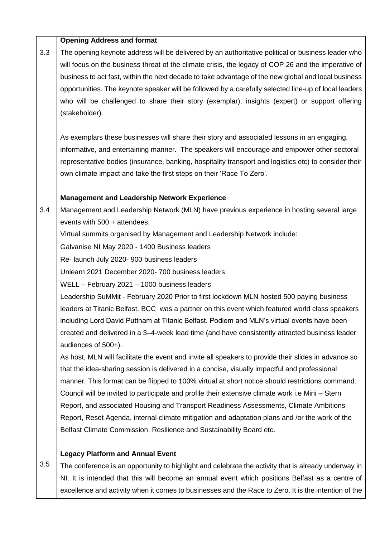|     | <b>Opening Address and format</b>                                                                     |
|-----|-------------------------------------------------------------------------------------------------------|
| 3.3 | The opening keynote address will be delivered by an authoritative political or business leader who    |
|     | will focus on the business threat of the climate crisis, the legacy of COP 26 and the imperative of   |
|     | business to act fast, within the next decade to take advantage of the new global and local business   |
|     | opportunities. The keynote speaker will be followed by a carefully selected line-up of local leaders  |
|     | who will be challenged to share their story (exemplar), insights (expert) or support offering         |
|     | (stakeholder).                                                                                        |
|     | As exemplars these businesses will share their story and associated lessons in an engaging,           |
|     | informative, and entertaining manner. The speakers will encourage and empower other sectoral          |
|     | representative bodies (insurance, banking, hospitality transport and logistics etc) to consider their |
|     | own climate impact and take the first steps on their 'Race To Zero'.                                  |
|     | <b>Management and Leadership Network Experience</b>                                                   |
| 3.4 | Management and Leadership Network (MLN) have previous experience in hosting several large             |
|     | events with 500 + attendees.                                                                          |
|     | Virtual summits organised by Management and Leadership Network include:                               |
|     | Galvanise NI May 2020 - 1400 Business leaders                                                         |
|     | Re- launch July 2020- 900 business leaders                                                            |
|     | Unlearn 2021 December 2020-700 business leaders                                                       |
|     | WELL - February 2021 - 1000 business leaders                                                          |
|     | Leadership SuMMit - February 2020 Prior to first lockdown MLN hosted 500 paying business              |
|     | leaders at Titanic Belfast. BCC was a partner on this event which featured world class speakers       |
|     | including Lord David Puttnam at Titanic Belfast. Podiem and MLN's virtual events have been            |
|     | created and delivered in a 3-4-week lead time (and have consistently attracted business leader        |
|     | audiences of 500+).                                                                                   |
|     | As host, MLN will facilitate the event and invite all speakers to provide their slides in advance so  |
|     | that the idea-sharing session is delivered in a concise, visually impactful and professional          |
|     | manner. This format can be flipped to 100% virtual at short notice should restrictions command.       |
|     | Council will be invited to participate and profile their extensive climate work i.e Mini – Stern      |
|     | Report, and associated Housing and Transport Readiness Assessments, Climate Ambitions                 |
|     | Report, Reset Agenda, internal climate mitigation and adaptation plans and /or the work of the        |
|     | Belfast Climate Commission, Resilience and Sustainability Board etc.                                  |
|     | <b>Legacy Platform and Annual Event</b>                                                               |
| 3.5 | The conference is an opportunity to highlight and celebrate the activity that is already underway in  |

NI. It is intended that this will become an annual event which positions Belfast as a centre of excellence and activity when it comes to businesses and the Race to Zero. It is the intention of the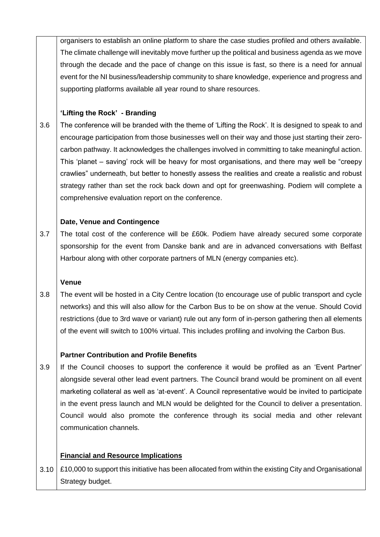organisers to establish an online platform to share the case studies profiled and others available. The climate challenge will inevitably move further up the political and business agenda as we move through the decade and the pace of change on this issue is fast, so there is a need for annual event for the NI business/leadership community to share knowledge, experience and progress and supporting platforms available all year round to share resources.

## **'Lifting the Rock' - Branding**

3.6 The conference will be branded with the theme of 'Lifting the Rock'. It is designed to speak to and encourage participation from those businesses well on their way and those just starting their zerocarbon pathway. It acknowledges the challenges involved in committing to take meaningful action. This 'planet – saving' rock will be heavy for most organisations, and there may well be "creepy crawlies" underneath, but better to honestly assess the realities and create a realistic and robust strategy rather than set the rock back down and opt for greenwashing. Podiem will complete a comprehensive evaluation report on the conference.

### **Date, Venue and Contingence**

3.7 The total cost of the conference will be £60k. Podiem have already secured some corporate sponsorship for the event from Danske bank and are in advanced conversations with Belfast Harbour along with other corporate partners of MLN (energy companies etc).

### **Venue**

3.8 The event will be hosted in a City Centre location (to encourage use of public transport and cycle networks) and this will also allow for the Carbon Bus to be on show at the venue. Should Covid restrictions (due to 3rd wave or variant) rule out any form of in-person gathering then all elements of the event will switch to 100% virtual. This includes profiling and involving the Carbon Bus.

### **Partner Contribution and Profile Benefits**

3.9 If the Council chooses to support the conference it would be profiled as an 'Event Partner' alongside several other lead event partners. The Council brand would be prominent on all event marketing collateral as well as 'at-event'. A Council representative would be invited to participate in the event press launch and MLN would be delighted for the Council to deliver a presentation. Council would also promote the conference through its social media and other relevant communication channels.

# **Financial and Resource Implications**

3.10 £10,000 to support this initiative has been allocated from within the existing City and Organisational Strategy budget.